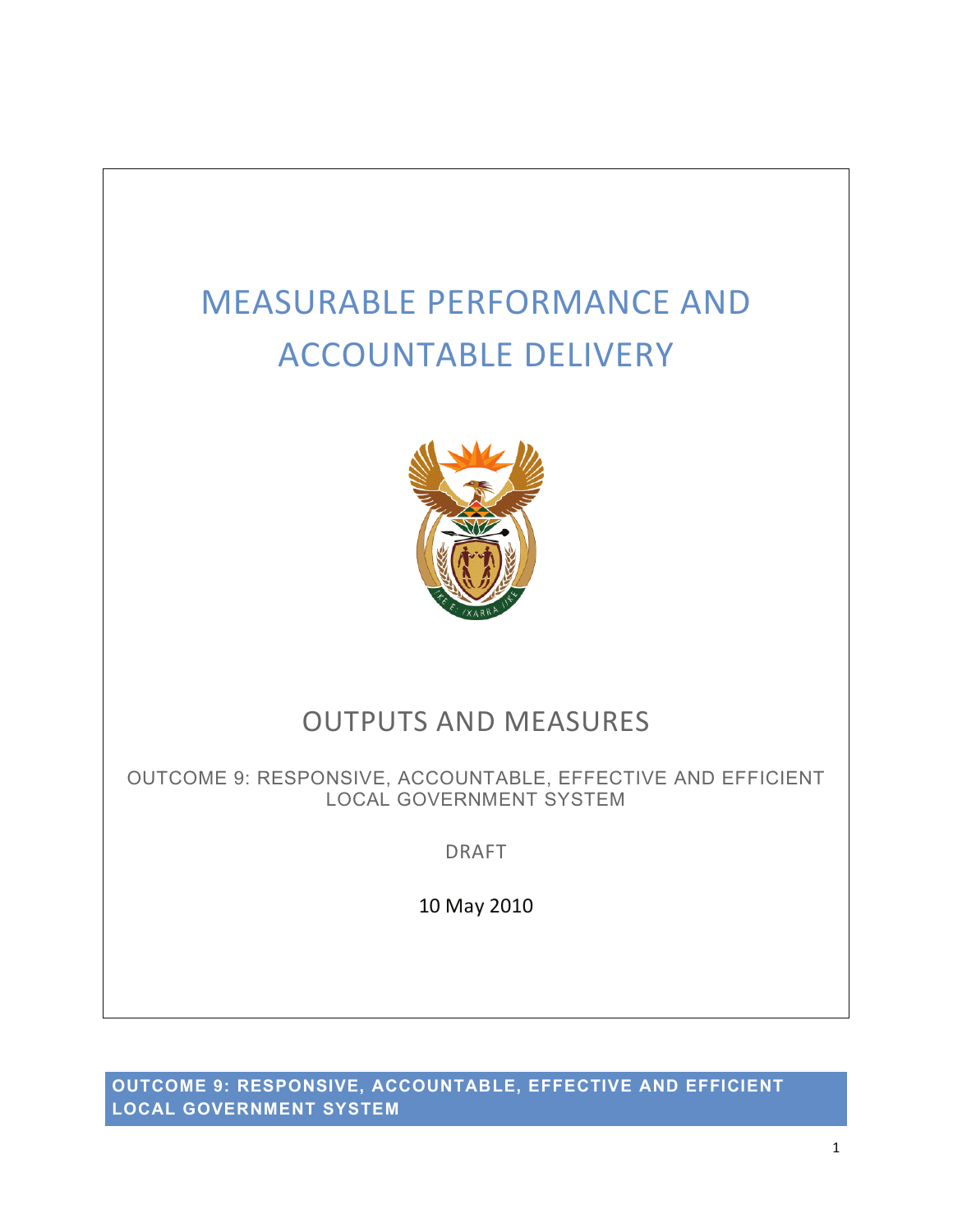# MEASURABLE PERFORMANCE AND ACCOUNTABLE DELIVERY



## OUTPUTS AND MEASURES

OUTCOME 9: RESPONSIVE, ACCOUNTABLE, EFFECTIVE AND EFFICIENT LOCAL GOVERNMENT SYSTEM

DRAFT

10 May 2010

**OUTCOME 9: RESPONSIVE, ACCOUNTABLE, EFFECTIVE AND EFFICIENT LOCAL GOVERNMENT SYSTEM**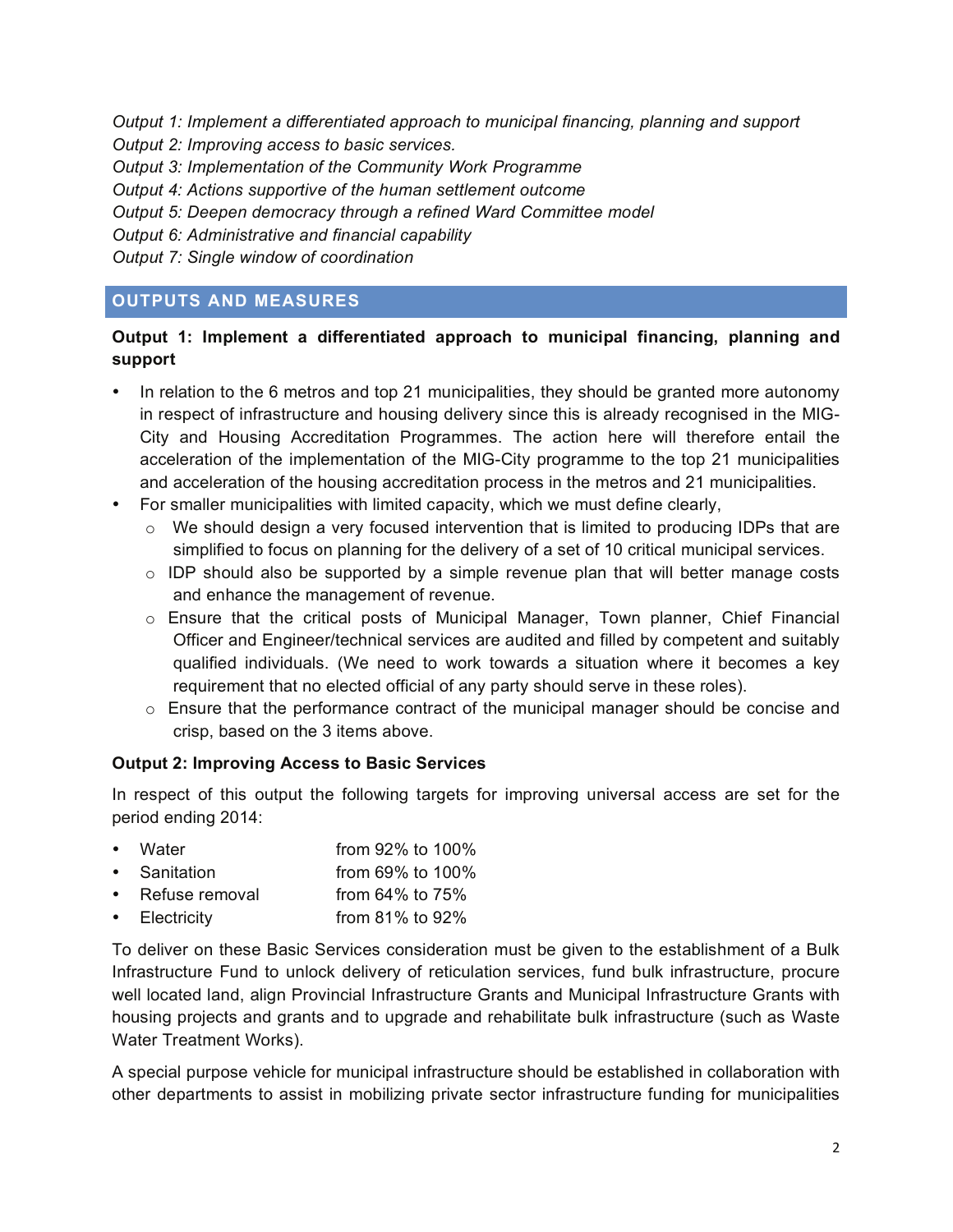*Output 1: Implement a differentiated approach to municipal financing, planning and support* 

*Output 2: Improving access to basic services.* 

*Output 3: Implementation of the Community Work Programme* 

*Output 4: Actions supportive of the human settlement outcome* 

*Output 5: Deepen democracy through a refined Ward Committee model* 

*Output 6: Administrative and financial capability* 

*Output 7: Single window of coordination* 

### **OUTPUTS AND MEASURES**

#### **Output 1: Implement a differentiated approach to municipal financing, planning and support**

- In relation to the 6 metros and top 21 municipalities, they should be granted more autonomy in respect of infrastructure and housing delivery since this is already recognised in the MIG-City and Housing Accreditation Programmes. The action here will therefore entail the acceleration of the implementation of the MIG-City programme to the top 21 municipalities and acceleration of the housing accreditation process in the metros and 21 municipalities.
- For smaller municipalities with limited capacity, which we must define clearly,
	- $\circ$  We should design a very focused intervention that is limited to producing IDPs that are simplified to focus on planning for the delivery of a set of 10 critical municipal services.
	- $\circ$  IDP should also be supported by a simple revenue plan that will better manage costs and enhance the management of revenue.
	- $\circ$  Ensure that the critical posts of Municipal Manager, Town planner, Chief Financial Officer and Engineer/technical services are audited and filled by competent and suitably qualified individuals. (We need to work towards a situation where it becomes a key requirement that no elected official of any party should serve in these roles).
	- $\circ$  Ensure that the performance contract of the municipal manager should be concise and crisp, based on the 3 items above.

#### **Output 2: Improving Access to Basic Services**

In respect of this output the following targets for improving universal access are set for the period ending 2014:

- Water **From 92% to 100%**
- Sanitation from 69% to 100%
- Refuse removal from 64% to 75%
- Electricity from 81% to 92%

To deliver on these Basic Services consideration must be given to the establishment of a Bulk Infrastructure Fund to unlock delivery of reticulation services, fund bulk infrastructure, procure well located land, align Provincial Infrastructure Grants and Municipal Infrastructure Grants with housing projects and grants and to upgrade and rehabilitate bulk infrastructure (such as Waste Water Treatment Works).

A special purpose vehicle for municipal infrastructure should be established in collaboration with other departments to assist in mobilizing private sector infrastructure funding for municipalities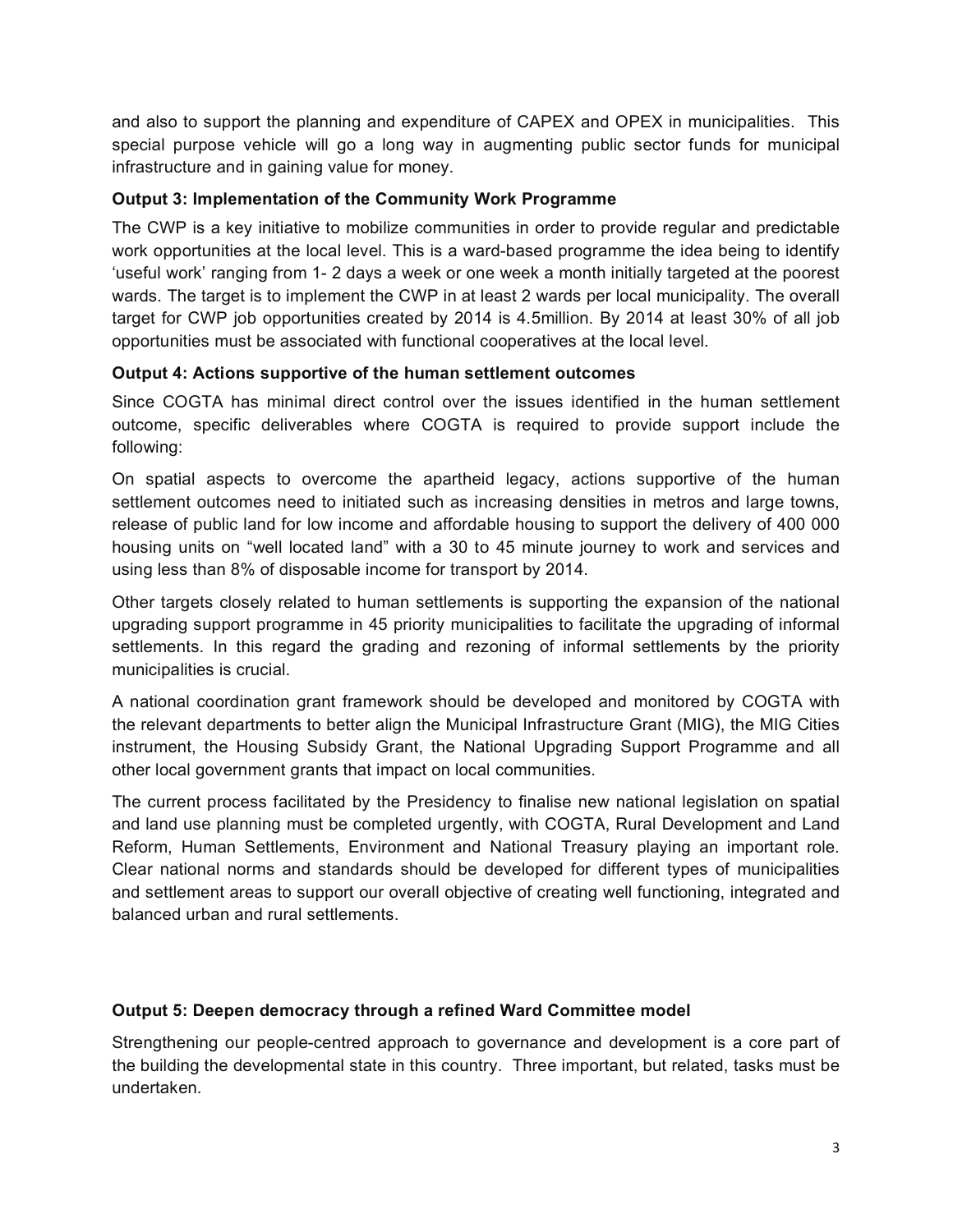and also to support the planning and expenditure of CAPEX and OPEX in municipalities. This special purpose vehicle will go a long way in augmenting public sector funds for municipal infrastructure and in gaining value for money.

#### **Output 3: Implementation of the Community Work Programme**

The CWP is a key initiative to mobilize communities in order to provide regular and predictable work opportunities at the local level. This is a ward-based programme the idea being to identify 'useful work' ranging from 1- 2 days a week or one week a month initially targeted at the poorest wards. The target is to implement the CWP in at least 2 wards per local municipality. The overall target for CWP job opportunities created by 2014 is 4.5million. By 2014 at least 30% of all job opportunities must be associated with functional cooperatives at the local level.

#### **Output 4: Actions supportive of the human settlement outcomes**

Since COGTA has minimal direct control over the issues identified in the human settlement outcome, specific deliverables where COGTA is required to provide support include the following:

On spatial aspects to overcome the apartheid legacy, actions supportive of the human settlement outcomes need to initiated such as increasing densities in metros and large towns, release of public land for low income and affordable housing to support the delivery of 400 000 housing units on "well located land" with a 30 to 45 minute journey to work and services and using less than 8% of disposable income for transport by 2014.

Other targets closely related to human settlements is supporting the expansion of the national upgrading support programme in 45 priority municipalities to facilitate the upgrading of informal settlements. In this regard the grading and rezoning of informal settlements by the priority municipalities is crucial.

A national coordination grant framework should be developed and monitored by COGTA with the relevant departments to better align the Municipal Infrastructure Grant (MIG), the MIG Cities instrument, the Housing Subsidy Grant, the National Upgrading Support Programme and all other local government grants that impact on local communities.

The current process facilitated by the Presidency to finalise new national legislation on spatial and land use planning must be completed urgently, with COGTA, Rural Development and Land Reform, Human Settlements, Environment and National Treasury playing an important role. Clear national norms and standards should be developed for different types of municipalities and settlement areas to support our overall objective of creating well functioning, integrated and balanced urban and rural settlements.

#### **Output 5: Deepen democracy through a refined Ward Committee model**

Strengthening our people-centred approach to governance and development is a core part of the building the developmental state in this country. Three important, but related, tasks must be undertaken.